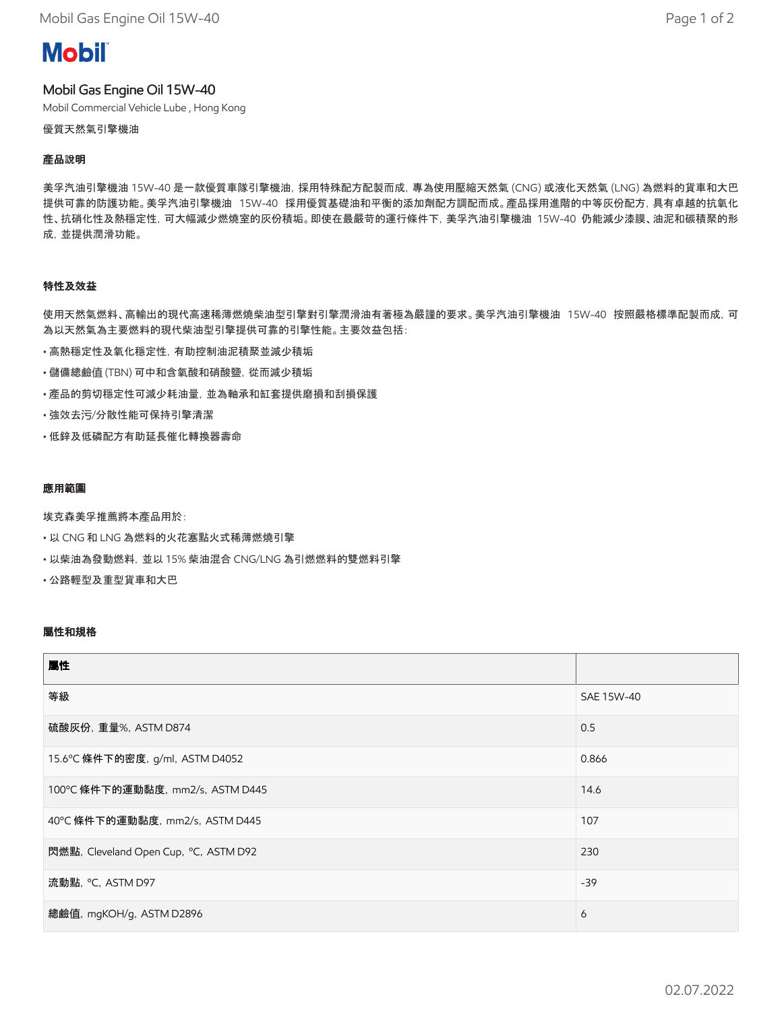Mobil Gas Engine Oil 15W-40 **Page 1** of 2

# **Mobil**

## Mobil Gas Engine Oil 15W-40

Mobil Commercial Vehicle Lube , Hong Kong

優質天然氣引擎機油

#### **產**品說明

美孚汽油引擎機油 15W-40 是一款優質車隊引擎機油,採用特殊配方配製而成,專為使用壓縮天然氣 (CNG) 或液化天然氣 (LNG) 為燃料的貨車和大巴 提供可靠的防護功能。美孚汽油引擎機油 15W-40 採用優質基礎油和平衡的添加劑配方調配而成。產品採用進階的中等灰份配方,具有卓越的抗氧化 性、抗硝化性及熱穩定性,可大幅減少燃燒室的灰份積垢。即使在最嚴苛的運行條件下,美孚汽油引擎機油 15W-40 仍能減少漆膜、油泥和碳積聚的形 成,並提供潤滑功能。

#### 特性及效益

使用天然氣燃料、高輸出的現代高速稀薄燃燒柴油型引擎對引擎潤滑油有著極為嚴謹的要求。美孚汽油引擎機油 15W-40 按照嚴格標準配製而成, 可 為以天然氣為主要燃料的現代柴油型引擎提供可靠的引擎性能。主要效益包括:

- 高熱穩定性及氧化穩定性,有助控制油泥積聚並減少積垢
- 儲備總鹼值 (TBN) 可中和含氧酸和硝酸鹽,從而減少積垢
- 產品的剪切穩定性可減少耗油量,並為軸承和缸套提供磨損和刮損保護
- 強效去污/分散性能可保持引擎清潔
- 低鋅及低磷配方有助延長催化轉換器壽命

#### 應用範圍

埃克森美孚推薦將本產品用於:

- 以 CNG 和 LNG 為燃料的火花塞點火式稀薄燃燒引擎
- 以柴油為發動燃料,並以 15% 柴油混合 CNG/LNG 為引燃燃料的雙燃料引擎

• 公路輕型及重型貨車和大巴

#### 屬性和規格

| 屬性                                    |            |
|---------------------------------------|------------|
| 等級                                    | SAE 15W-40 |
| 硫酸灰份, 重量%, ASTM D874                  | 0.5        |
| 15.6℃ 條件下的密度, g/ml, ASTM D4052        | 0.866      |
| 100°C 條件下的運動黏度, mm2/s, ASTM D445      | 14.6       |
| 40°C 條件下的運動黏度, mm2/s, ASTM D445       | 107        |
| 閃燃點, Cleveland Open Cup, °C, ASTM D92 | 230        |
| 流動點, °C, ASTM D97                     | $-39$      |
| 總鹼值, mgKOH/g, ASTM D2896              | 6          |